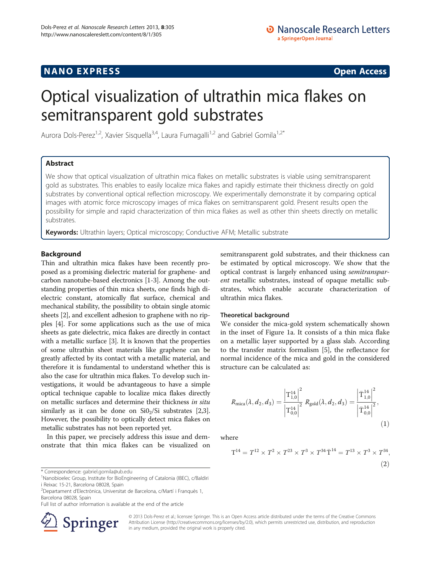# <span id="page-0-0"></span>**NANO EXPRESS** Open Access and the set of the set of the set of the set of the set of the set of the set of the set of the set of the set of the set of the set of the set of the set of the set of the set of the set of the

# Optical visualization of ultrathin mica flakes on semitransparent gold substrates

Aurora Dols-Perez<sup>1,2</sup>, Xavier Sisquella<sup>3,4</sup>, Laura Fumagalli<sup>1,2</sup> and Gabriel Gomila<sup>1,2\*</sup>

# Abstract

We show that optical visualization of ultrathin mica flakes on metallic substrates is viable using semitransparent gold as substrates. This enables to easily localize mica flakes and rapidly estimate their thickness directly on gold substrates by conventional optical reflection microscopy. We experimentally demonstrate it by comparing optical images with atomic force microscopy images of mica flakes on semitransparent gold. Present results open the possibility for simple and rapid characterization of thin mica flakes as well as other thin sheets directly on metallic substrates.

Keywords: Ultrathin layers; Optical microscopy; Conductive AFM; Metallic substrate

## **Background**

Thin and ultrathin mica flakes have been recently proposed as a promising dielectric material for graphene- and carbon nanotube-based electronics [\[1](#page-4-0)-[3\]](#page-4-0). Among the outstanding properties of thin mica sheets, one finds high dielectric constant, atomically flat surface, chemical and mechanical stability, the possibility to obtain single atomic sheets [[2\]](#page-4-0), and excellent adhesion to graphene with no ripples [[4](#page-4-0)]. For some applications such as the use of mica sheets as gate dielectric, mica flakes are directly in contact with a metallic surface [[3](#page-4-0)]. It is known that the properties of some ultrathin sheet materials like graphene can be greatly affected by its contact with a metallic material, and therefore it is fundamental to understand whether this is also the case for ultrathin mica flakes. To develop such investigations, it would be advantageous to have a simple optical technique capable to localize mica flakes directly on metallic surfaces and determine their thickness in situ similarly as it can be done on  $SiO<sub>2</sub>/Si$  $SiO<sub>2</sub>/Si$  $SiO<sub>2</sub>/Si$  substrates [2,[3](#page-4-0)]. However, the possibility to optically detect mica flakes on metallic substrates has not been reported yet.

In this paper, we precisely address this issue and demonstrate that thin mica flakes can be visualized on semitransparent gold substrates, and their thickness can be estimated by optical microscopy. We show that the optical contrast is largely enhanced using semitransparent metallic substrates, instead of opaque metallic substrates, which enable accurate characterization of ultrathin mica flakes.

#### Theoretical background

We consider the mica-gold system schematically shown in the inset of Figure [1](#page-1-0)a. It consists of a thin mica flake on a metallic layer supported by a glass slab. According to the transfer matrix formalism [[5\]](#page-4-0), the reflectance for normal incidence of the mica and gold in the considered structure can be calculated as:

$$
R_{\text{mica}}(\lambda, d_2, d_3) = \frac{\left| \mathbf{T}_{1,0}^{14} \right|^2}{\left| \mathbf{T}_{0,0}^{14} \right|^2} R_{\text{gold}}(\lambda, d_2, d_3) = \frac{\left| \mathbf{\bar{T}}_{1,0}^{14} \right|^2}{\left| \mathbf{\bar{T}}_{0,0}^{14} \right|^2},\tag{1}
$$

where

$$
T^{14} = T^{12} \times T^2 \times T^{23} \times T^3 \times T^{34} \overline{T}^{14} = T^{13} \times T^3 \times T^{34},
$$
\n(2)

Full list of author information is available at the end of the article



© 2013 Dols-Perez et al.; licensee Springer. This is an Open Access article distributed under the terms of the Creative Commons Attribution License [\(http://creativecommons.org/licenses/by/2.0\)](http://creativecommons.org/licenses/by/2.0), which permits unrestricted use, distribution, and reproduction in any medium, provided the original work is properly cited.

<sup>\*</sup> Correspondence: [gabriel.gomila@ub.edu](mailto:gabriel.gomila@ub.edu) <sup>1</sup>

<sup>&</sup>lt;sup>1</sup>Nanobioelec Group, Institute for BioEngineering of Catalonia (IBEC), c/Baldiri i Reixac 15-21, Barcelona 08028, Spain

<sup>2</sup> Departament d'Electrònica, Universitat de Barcelona, c/Martí i Franquès 1, Barcelona 08028, Spain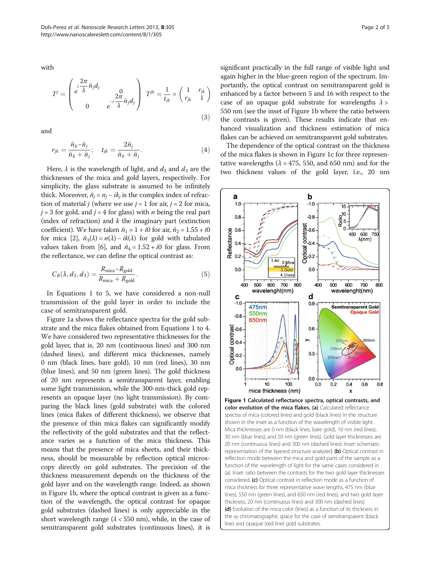<span id="page-1-0"></span>with

$$
T^{j} = \begin{pmatrix} \frac{i}{\lambda} \tilde{n}_{j} d_{j} & 0\\ e^{-i \lambda} \tilde{n}_{j} d_{j} & 0\\ 0 & e^{-i \lambda} \tilde{n}_{j} d_{j} \end{pmatrix} T^{jk} = \frac{1}{t_{jk}} \times \begin{pmatrix} 1 & r_{jk} \\ r_{jk} & 1 \end{pmatrix}
$$
(3)

and

$$
r_{jk} = \frac{\tilde{n}_k - \tilde{n}_j}{\tilde{n}_k + \tilde{n}_j}; \quad t_{jk} = \frac{2\tilde{n}_j}{\tilde{n}_k + \tilde{n}_j}.
$$
 (4)

Here,  $\lambda$  is the wavelength of light, and  $d_2$  and  $d_3$  are the thicknesses of the mica and gold layers, respectively. For simplicity, the glass substrate is assumed to be infinitely thick. Moreover,  $\tilde{n}_i = n_i - i k_i$  is the complex index of refraction of material *j* (where we use  $j = 1$  for air,  $j = 2$  for mica,  $j = 3$  for gold, and  $j = 4$  for glass) with *n* being the real part (index of refraction) and  $k$  the imaginary part (extinction coefficient). We have taken  $\tilde{n}_1 = 1 + i0$  for air,  $\tilde{n}_2 = 1.55 + i0$ for mica [\[2\]](#page-4-0),  $\tilde{n}_3(\lambda) = n(\lambda) - ik(\lambda)$  for gold with tabulated values taken from [\[6](#page-4-0)], and  $\tilde{n}_4 = 1.52 + i0$  for glass. From the reflectance, we can define the optical contrast as:

$$
C_R(\lambda, d_2, d_3) = \frac{R_{\text{mica}} - R_{\text{gold}}}{R_{\text{mica}} + R_{\text{gold}}}.\tag{5}
$$

In Equations [1](#page-0-0) to 5, we have considered a non-null transmission of the gold layer in order to include the case of semitransparent gold.

Figure 1a shows the reflectance spectra for the gold substrate and the mica flakes obtained from Equations [1](#page-0-0) to 4. We have considered two representative thicknesses for the gold layer, that is, 20 nm (continuous lines) and 300 nm (dashed lines), and different mica thicknesses, namely 0 nm (black lines, bare gold), 10 nm (red lines), 30 nm (blue lines), and 50 nm (green lines). The gold thickness of 20 nm represents a semitransparent layer, enabling some light transmission, while the 300-nm-thick gold represents an opaque layer (no light transmission). By comparing the black lines (gold substrate) with the colored lines (mica flakes of different thickness), we observe that the presence of thin mica flakes can significantly modify the reflectivity of the gold substrates and that the reflectance varies as a function of the mica thickness. This means that the presence of mica sheets, and their thickness, should be measurable by reflection optical microscopy directly on gold substrates. The precision of the thickness measurement depends on the thickness of the gold layer and on the wavelength range. Indeed, as shown in Figure 1b, where the optical contrast is given as a function of the wavelength, the optical contrast for opaque gold substrates (dashed lines) is only appreciable in the short wavelength range ( $\lambda$  < 550 nm), while, in the case of semitransparent gold substrates (continuous lines), it is

significant practically in the full range of visible light and again higher in the blue-green region of the spectrum. Importantly, the optical contrast on semitransparent gold is enhanced by a factor between 5 and 16 with respect to the case of an opaque gold substrate for wavelengths  $\lambda$  > 550 nm (see the inset of Figure 1b where the ratio between the contrasts is given). These results indicate that enhanced visualization and thickness estimation of mica flakes can be achieved on semitransparent gold substrates.

The dependence of the optical contrast on the thickness of the mica flakes is shown in Figure 1c for three representative wavelengths ( $\lambda$  = 475, 550, and 650 nm) and for the two thickness values of the gold layer, i.e., 20 nm



Mica thicknesses are 0 nm (black lines, bare gold), 10 nm (red lines), 30 nm (blue lines), and 50 nm (green lines). Gold layer thicknesses are 20 nm (continuous lines) and 300 nm (dashed lines). Inset: schematic representation of the layered structure analyzed. (b) Optical contrast in reflection mode between the mica and gold parts of the sample as a function of the wavelength of light for the same cases considered in (a). Inset: ratio between the contrasts for the two gold layer thicknesses considered. (c) Optical contrast in reflection mode as a function of mica thickness for three representative wave lengths, 475 nm (blue lines), 550 nm (green lines), and 650 nm (red lines), and two gold layer thickness, 20 nm (continuous lines) and 300 nm (dashed lines). (d) Evolution of the mica color (lines) as a function of its thickness in the xy chromatographic space for the case of semitransparent (black line) and opaque (red line) gold substrates.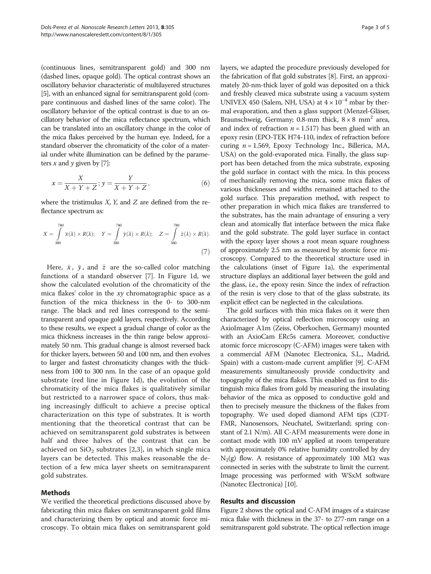(continuous lines, semitransparent gold) and 300 nm (dashed lines, opaque gold). The optical contrast shows an oscillatory behavior characteristic of multilayered structures [[5](#page-4-0)], with an enhanced signal for semitransparent gold (compare continuous and dashed lines of the same color). The oscillatory behavior of the optical contrast is due to an oscillatory behavior of the mica reflectance spectrum, which can be translated into an oscillatory change in the color of the mica flakes perceived by the human eye. Indeed, for a standard observer the chromaticity of the color of a material under white illumination can be defined by the parameters  $x$  and  $y$  given by [[7](#page-4-0)]:

$$
x = \frac{X}{X + Y + Z}; y = \frac{Y}{X + Y + Z},
$$
\n(6)

where the tristimulus  $X$ ,  $Y$ , and  $Z$  are defined from the reflectance spectrum as:

$$
X = \int_{380}^{780} \bar{x}(\lambda) \times R(\lambda); \quad Y = \int_{380}^{780} \bar{y}(\lambda) \times R(\lambda); \quad Z = \int_{380}^{780} \bar{z}(\lambda) \times R(\lambda).
$$
\n(7)

Here,  $\bar{x}$ ,  $\bar{y}$ , and  $\bar{z}$  are the so-called color matching functions of a standard observer [[7\]](#page-4-0). In Figure [1](#page-1-0)d, we show the calculated evolution of the chromaticity of the mica flakes' color in the xy chromatographic space as a function of the mica thickness in the 0- to 300-nm range. The black and red lines correspond to the semitransparent and opaque gold layers, respectively. According to these results, we expect a gradual change of color as the mica thickness increases in the thin range below approximately 50 nm. This gradual change is almost reversed back for thicker layers, between 50 and 100 nm, and then evolves to larger and fastest chromaticity changes with the thickness from 100 to 300 nm. In the case of an opaque gold substrate (red line in Figure [1](#page-1-0)d), the evolution of the chromaticity of the mica flakes is qualitatively similar but restricted to a narrower space of colors, thus making increasingly difficult to achieve a precise optical characterization on this type of substrates. It is worth mentioning that the theoretical contrast that can be achieved on semitransparent gold substrates is between half and three halves of the contrast that can be achieved on  $SiO<sub>2</sub>$  substrates [[2,3](#page-4-0)], in which single mica layers can be detected. This makes reasonable the detection of a few mica layer sheets on semitransparent gold substrates.

### Methods

We verified the theoretical predictions discussed above by fabricating thin mica flakes on semitransparent gold films and characterizing them by optical and atomic force microscopy. To obtain mica flakes on semitransparent gold layers, we adapted the procedure previously developed for the fabrication of flat gold substrates [[8\]](#page-4-0). First, an approximately 20-nm-thick layer of gold was deposited on a thick and freshly cleaved mica substrate using a vacuum system UNIVEX 450 (Salem, NH, USA) at  $4 \times 10^{-4}$  mbar by thermal evaporation, and then a glass support (Menzel-Gläser, Braunschweig, Germany; 0.8-mm thick,  $8 \times 8$  mm<sup>2</sup> area, and index of refraction  $n = 1.517$ ) has been glued with an epoxy resin (EPO-TEK H74-110, index of refraction before curing  $n = 1.569$ , Epoxy Technology Inc., Billerica, MA, USA) on the gold-evaporated mica. Finally, the glass support has been detached from the mica substrate, exposing the gold surface in contact with the mica. In this process of mechanically removing the mica, some mica flakes of various thicknesses and widths remained attached to the gold surface. This preparation method, with respect to other preparation in which mica flakes are transferred to the substrates, has the main advantage of ensuring a very clean and atomically flat interface between the mica flake and the gold substrate. The gold layer surface in contact with the epoxy layer shows a root mean square roughness of approximately 2.5 nm as measured by atomic force microscopy. Compared to the theoretical structure used in the calculations (inset of Figure [1](#page-1-0)a), the experimental structure displays an additional layer between the gold and the glass, i.e., the epoxy resin. Since the index of refraction of the resin is very close to that of the glass substrate, its explicit effect can be neglected in the calculations.

The gold surfaces with thin mica flakes on it were then characterized by optical reflection microscopy using an AxioImager A1m (Zeiss, Oberkochen, Germany) mounted with an AxioCam ERc5s camera. Moreover, conductive atomic force microscopy (C-AFM) images were taken with a commercial AFM (Nanotec Electronica, S.L., Madrid, Spain) with a custom-made current amplifier [\[9](#page-4-0)]. C-AFM measurements simultaneously provide conductivity and topography of the mica flakes. This enabled us first to distinguish mica flakes from gold by measuring the insulating behavior of the mica as opposed to conductive gold and then to precisely measure the thickness of the flakes from topography. We used doped diamond AFM tips (CDT-FMR, Nanosensors, Neuchatel, Switzerland; spring constant of 2.1 N/m). All C-AFM measurements were done in contact mode with 100 mV applied at room temperature with approximately 0% relative humidity controlled by dry  $N_2(g)$  flow. A resistance of approximately 100 MΩ was connected in series with the substrate to limit the current. Image processing was performed with WSxM software (Nanotec Electronica) [[10](#page-4-0)].

### Results and discussion

Figure [2](#page-3-0) shows the optical and C-AFM images of a staircase mica flake with thickness in the 37- to 277-nm range on a semitransparent gold substrate. The optical reflection image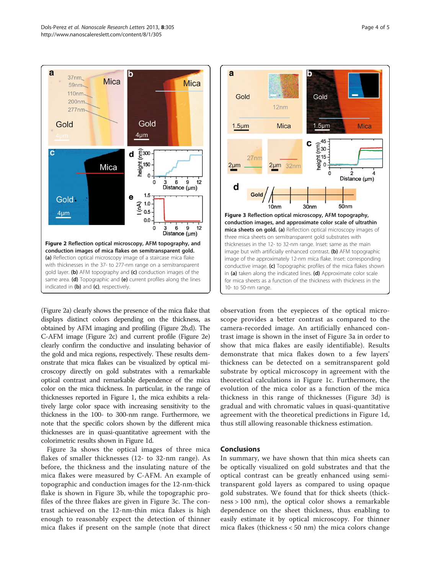<span id="page-3-0"></span>

(Figure 2a) clearly shows the presence of the mica flake that displays distinct colors depending on the thickness, as obtained by AFM imaging and profiling (Figure 2b,d). The C-AFM image (Figure 2c) and current profile (Figure 2e) clearly confirm the conductive and insulating behavior of the gold and mica regions, respectively. These results demonstrate that mica flakes can be visualized by optical microscopy directly on gold substrates with a remarkable optical contrast and remarkable dependence of the mica color on the mica thickness. In particular, in the range of thicknesses reported in Figure [1](#page-1-0), the mica exhibits a relatively large color space with increasing sensitivity to the thickness in the 100- to 300-nm range. Furthermore, we note that the specific colors shown by the different mica thicknesses are in quasi-quantitative agreement with the colorimetric results shown in Figure [1](#page-1-0)d.

Figure 3a shows the optical images of three mica flakes of smaller thicknesses (12- to 32-nm range). As before, the thickness and the insulating nature of the mica flakes were measured by C-AFM. An example of topographic and conduction images for the 12-nm-thick flake is shown in Figure 3b, while the topographic profiles of the three flakes are given in Figure 3c. The contrast achieved on the 12-nm-thin mica flakes is high enough to reasonably expect the detection of thinner mica flakes if present on the sample (note that direct



observation from the eyepieces of the optical microscope provides a better contrast as compared to the camera-recorded image. An artificially enhanced contrast image is shown in the inset of Figure 3a in order to show that mica flakes are easily identifiable). Results demonstrate that mica flakes down to a few layers' thickness can be detected on a semitransparent gold substrate by optical microscopy in agreement with the theoretical calculations in Figure [1c](#page-1-0). Furthermore, the evolution of the mica color as a function of the mica thickness in this range of thicknesses (Figure 3d) is gradual and with chromatic values in quasi-quantitative agreement with the theoretical predictions in Figure [1](#page-1-0)d, thus still allowing reasonable thickness estimation.

#### **Conclusions**

In summary, we have shown that thin mica sheets can be optically visualized on gold substrates and that the optical contrast can be greatly enhanced using semitransparent gold layers as compared to using opaque gold substrates. We found that for thick sheets (thickness > 100 nm), the optical color shows a remarkable dependence on the sheet thickness, thus enabling to easily estimate it by optical microscopy. For thinner mica flakes (thickness < 50 nm) the mica colors change